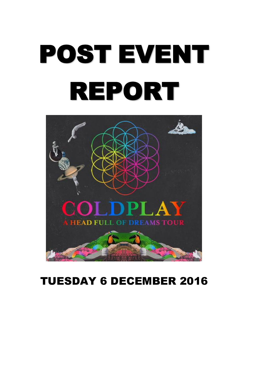# POST EVENT REPORT



# TUESDAY 6 DECEMBER 2016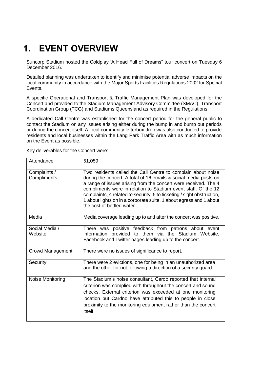# **1. EVENT OVERVIEW**

Suncorp Stadium hosted the Coldplay 'A Head Full of Dreams" tour concert on Tuesday 6 December 2016.

Detailed planning was undertaken to identify and minimise potential adverse impacts on the local community in accordance with the Major Sports Facilities Regulations 2002 for Special Events.

A specific Operational and Transport & Traffic Management Plan was developed for the Concert and provided to the Stadium Management Advisory Committee (SMAC), Transport Coordination Group (TCG) and Stadiums Queensland as required in the Regulations.

A dedicated Call Centre was established for the concert period for the general public to contact the Stadium on any issues arising either during the bump in and bump out periods or during the concert itself. A local community letterbox drop was also conducted to provide residents and local businesses within the Lang Park Traffic Area with as much information on the Event as possible.

Key deliverables for the Concert were:

| Attendance                  | 51,059                                                                                                                                                                                                                                                                                                                                                                                                                                              |
|-----------------------------|-----------------------------------------------------------------------------------------------------------------------------------------------------------------------------------------------------------------------------------------------------------------------------------------------------------------------------------------------------------------------------------------------------------------------------------------------------|
| Complaints /<br>Compliments | Two residents called the Call Centre to complain about noise<br>during the concert. A total of 16 emails & social media posts on<br>a range of issues arising from the concert were received. The 4<br>compliments were in relation to Stadium event staff. Of the 12<br>complaints, 4 related to security, 5 to ticketing / sight obstruction,<br>1 about lights on in a corporate suite, 1 about egress and 1 about<br>the cost of bottled water. |
| Media                       | Media coverage leading up to and after the concert was positive.                                                                                                                                                                                                                                                                                                                                                                                    |
| Social Media /<br>Website   | There was positive feedback from patrons about event<br>information provided to them via the Stadium Website,<br>Facebook and Twitter pages leading up to the concert.                                                                                                                                                                                                                                                                              |
| <b>Crowd Management</b>     | There were no issues of significance to report.                                                                                                                                                                                                                                                                                                                                                                                                     |
| Security                    | There were 2 evictions, one for being in an unauthorized area<br>and the other for not following a direction of a security guard.                                                                                                                                                                                                                                                                                                                   |
| Noise Monitoring            | The Stadium's noise consultant, Cardo reported that internal<br>criterion was complied with throughout the concert and sound<br>checks. External criterion was exceeded at one monitoring<br>location but Cardno have attributed this to people in close<br>proximity to the monitoring equipment rather than the concert<br>itself.                                                                                                                |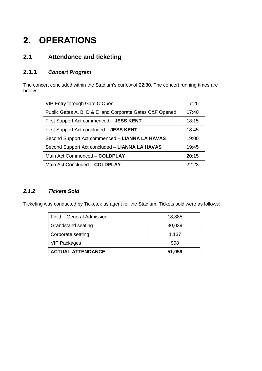# **2. OPERATIONS**

# **2.1 Attendance and ticketing**

### **2.1.1** *Concert Program*

The concert concluded within the Stadium's curfew of 22:30. The concert running times are below:

| VIP Entry through Gate C Open                           | 17:25 |
|---------------------------------------------------------|-------|
| Public Gates A, B, D & E and Corporate Gates C&F Opened | 17:40 |
| First Support Act commenced - JESS KENT                 | 18:15 |
| First Support Act concluded - JESS KENT                 | 18:45 |
| Second Support Act commenced - LIANNA LA HAVAS          | 19:00 |
| Second Support Act concluded - LIANNA LA HAVAS          | 19:45 |
| Main Act Commenced - COLDPLAY                           | 20:15 |
| Main Act Concluded - COLDPLAY                           | 22.23 |

#### *2.1.2 Tickets Sold*

Ticketing was conducted by Ticketek as agent for the Stadium. Tickets sold were as follows:

| Field - General Admission | 18,885 |
|---------------------------|--------|
| <b>Grandstand seating</b> | 30,039 |
| Corporate seating         | 1,137  |
| <b>VIP Packages</b>       | 998    |
| <b>ACTUAL ATTENDANCE</b>  | 51,059 |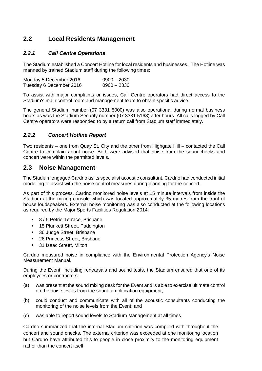# **2.2 Local Residents Management**

#### *2.2.1 Call Centre Operations*

The Stadium established a Concert Hotline for local residents and businesses. The Hotline was manned by trained Stadium staff during the following times:

| Monday 5 December 2016  | $0900 - 2030$ |
|-------------------------|---------------|
| Tuesday 6 December 2016 | $0900 - 2330$ |

To assist with major complaints or issues, Call Centre operators had direct access to the Stadium's main control room and management team to obtain specific advice.

The general Stadium number (07 3331 5000) was also operational during normal business hours as was the Stadium Security number (07 3331 5168) after hours. All calls logged by Call Centre operators were responded to by a return call from Stadium staff immediately.

#### *2.2.2 Concert Hotline Report*

Two residents – one from Quay St, City and the other from Highgate Hill – contacted the Call Centre to complain about noise. Both were advised that noise from the soundchecks and concert were within the permitted levels.

#### **2.3 Noise Management**

The Stadium engaged Cardno as its specialist acoustic consultant. Cardno had conducted initial modelling to assist with the noise control measures during planning for the concert.

As part of this process, Cardno monitored noise levels at 15 minute intervals from inside the Stadium at the mixing console which was located approximately 35 metres from the front of house loudspeakers. External noise monitoring was also conducted at the following locations as required by the Major Sports Facilities Regulation 2014:

- 8 / 5 Petrie Terrace, Brisbane
- 15 Plunkett Street, Paddington
- 36 Judge Street, Brisbane
- 26 Princess Street, Brisbane
- 31 Isaac Street, Milton

Cardno measured noise in compliance with the Environmental Protection Agency's Noise Measurement Manual.

During the Event, including rehearsals and sound tests, the Stadium ensured that one of its employees or contractors:-

- (a) was present at the sound mixing desk for the Event and is able to exercise ultimate control on the noise levels from the sound amplification equipment;
- (b) could conduct and communicate with all of the acoustic consultants conducting the monitoring of the noise levels from the Event; and
- (c) was able to report sound levels to Stadium Management at all times

Cardno summarized that the internal Stadium criterion was complied with throughout the concert and sound checks. The external criterion was exceeded at one monitoring location but Cardno have attributed this to people in close proximity to the monitoring equipment rather than the concert itself.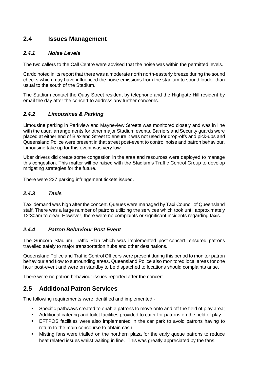## **2.4 Issues Management**

#### *2.4.1 Noise Levels*

The two callers to the Call Centre were advised that the noise was within the permitted levels.

Cardo noted in its report that there was a moderate north north-easterly breeze during the sound checks which may have influenced the noise emissions from the stadium to sound louder than usual to the south of the Stadium.

The Stadium contact the Quay Street resident by telephone and the Highgate Hill resident by email the day after the concert to address any further concerns.

#### *2.4.2 Limousines & Parking*

Limousine parking in Parkview and Mayneview Streets was monitored closely and was in line with the usual arrangements for other major Stadium events. Barriers and Security guards were placed at either end of Blaxland Street to ensure it was not used for drop-offs and pick-ups and Queensland Police were present in that street post-event to control noise and patron behaviour. Limousine take up for this event was very low.

Uber drivers did create some congestion in the area and resources were deployed to manage this congestion. This matter will be raised with the Stadium's Traffic Control Group to develop mitigating strategies for the future.

There were 237 parking infringement tickets issued.

#### *2.4.3 Taxis*

Taxi demand was high after the concert. Queues were managed by Taxi Council of Queensland staff. There was a large number of patrons utilizing the services which took until approximately 12:30am to clear. However, there were no complaints or significant incidents regarding taxis.

#### *2.4.4 Patron Behaviour Post Event*

The Suncorp Stadium Traffic Plan which was implemented post-concert, ensured patrons travelled safely to major transportation hubs and other destinations.

Queensland Police and Traffic Control Officers were present during this period to monitor patron behaviour and flow to surrounding areas. Queensland Police also monitored local areas for one hour post-event and were on standby to be dispatched to locations should complaints arise.

There were no patron behaviour issues reported after the concert.

## **2.5 Additional Patron Services**

The following requirements were identified and implemented:-

- **Specific pathways created to enable patrons to move onto and off the field of play area;**
- Additional catering and toilet facilities provided to cater for patrons on the field of play.
- EFTPOS facilities were also implemented in the car park to avoid patrons having to return to the main concourse to obtain cash.
- Misting fans were trialled on the northern plaza for the early queue patrons to reduce heat related issues whilst waiting in line. This was greatly appreciated by the fans.